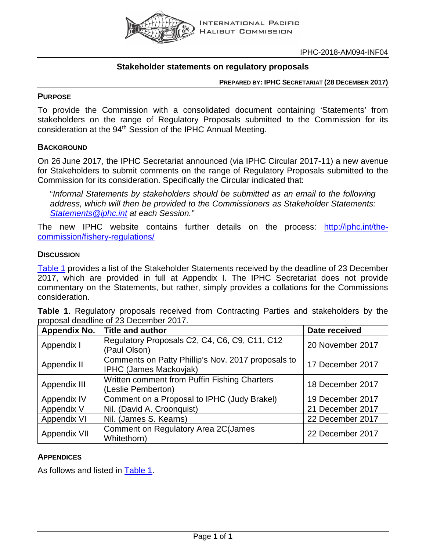

## **Stakeholder statements on regulatory proposals**

**PREPARED BY: IPHC SECRETARIAT (28 DECEMBER 2017)**

#### **PURPOSE**

To provide the Commission with a consolidated document containing 'Statements' from stakeholders on the range of Regulatory Proposals submitted to the Commission for its consideration at the 94<sup>th</sup> Session of the IPHC Annual Meeting.

## **BACKGROUND**

On 26 June 2017, the IPHC Secretariat announced (via IPHC Circular 2017-11) a new avenue for Stakeholders to submit comments on the range of Regulatory Proposals submitted to the Commission for its consideration. Specifically the Circular indicated that:

"*Informal Statements by stakeholders should be submitted as an email to the following address, which will then be provided to the Commissioners as Stakeholder Statements: [Statements@iphc.int](mailto:Statements@iphc.int) at each Session."*

The new IPHC website contains further details on the process: [http://iphc.int/the](http://iphc.int/the-commission/fishery-regulations/)[commission/fishery-regulations/](http://iphc.int/the-commission/fishery-regulations/)

#### **DISCUSSION**

[Table](#page-0-0) 1 provides a list of the Stakeholder Statements received by the deadline of 23 December 2017, which are provided in full at Appendix I. The IPHC Secretariat does not provide commentary on the Statements, but rather, simply provides a collations for the Commissions consideration.

<span id="page-0-0"></span>**Table 1**. Regulatory proposals received from Contracting Parties and stakeholders by the proposal deadline of 23 December 2017.

| <b>Appendix No.</b> | <b>Title and author</b>                                                             | Date received    |  |  |
|---------------------|-------------------------------------------------------------------------------------|------------------|--|--|
| Appendix I          | Regulatory Proposals C2, C4, C6, C9, C11, C12<br>(Paul Olson)                       | 20 November 2017 |  |  |
| Appendix II         | Comments on Patty Phillip's Nov. 2017 proposals to<br><b>IPHC (James Mackovjak)</b> | 17 December 2017 |  |  |
| Appendix III        | Written comment from Puffin Fishing Charters<br>(Leslie Pemberton)                  | 18 December 2017 |  |  |
| Appendix IV         | Comment on a Proposal to IPHC (Judy Brakel)                                         | 19 December 2017 |  |  |
| Appendix V          | Nil. (David A. Croonquist)                                                          | 21 December 2017 |  |  |
| Appendix VI         | Nil. (James S. Kearns)                                                              | 22 December 2017 |  |  |
| <b>Appendix VII</b> | Comment on Regulatory Area 2C(James<br>Whitethorn)                                  | 22 December 2017 |  |  |

## **APPENDICES**

As follows and listed in [Table 1.](#page-0-0)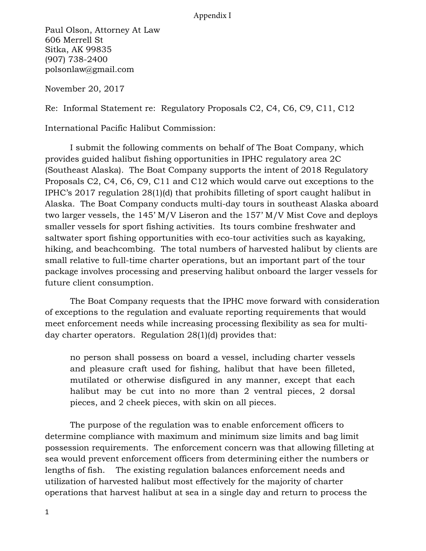## Appendix I

Paul Olson, Attorney At Law 606 Merrell St Sitka, AK 99835 (907) 738-2400 polsonlaw@gmail.com

November 20, 2017

Re: Informal Statement re: Regulatory Proposals C2, C4, C6, C9, C11, C12

International Pacific Halibut Commission:

I submit the following comments on behalf of The Boat Company, which provides guided halibut fishing opportunities in IPHC regulatory area 2C (Southeast Alaska). The Boat Company supports the intent of 2018 Regulatory Proposals C2, C4, C6, C9, C11 and C12 which would carve out exceptions to the IPHC's 2017 regulation 28(1)(d) that prohibits filleting of sport caught halibut in Alaska. The Boat Company conducts multi-day tours in southeast Alaska aboard two larger vessels, the 145' M/V Liseron and the 157' M/V Mist Cove and deploys smaller vessels for sport fishing activities. Its tours combine freshwater and saltwater sport fishing opportunities with eco-tour activities such as kayaking, hiking, and beachcombing. The total numbers of harvested halibut by clients are small relative to full-time charter operations, but an important part of the tour package involves processing and preserving halibut onboard the larger vessels for future client consumption.

The Boat Company requests that the IPHC move forward with consideration of exceptions to the regulation and evaluate reporting requirements that would meet enforcement needs while increasing processing flexibility as sea for multiday charter operators. Regulation 28(1)(d) provides that:

no person shall possess on board a vessel, including charter vessels and pleasure craft used for fishing, halibut that have been filleted, mutilated or otherwise disfigured in any manner, except that each halibut may be cut into no more than 2 ventral pieces, 2 dorsal pieces, and 2 cheek pieces, with skin on all pieces.

The purpose of the regulation was to enable enforcement officers to determine compliance with maximum and minimum size limits and bag limit possession requirements. The enforcement concern was that allowing filleting at sea would prevent enforcement officers from determining either the numbers or lengths of fish. The existing regulation balances enforcement needs and utilization of harvested halibut most effectively for the majority of charter operations that harvest halibut at sea in a single day and return to process the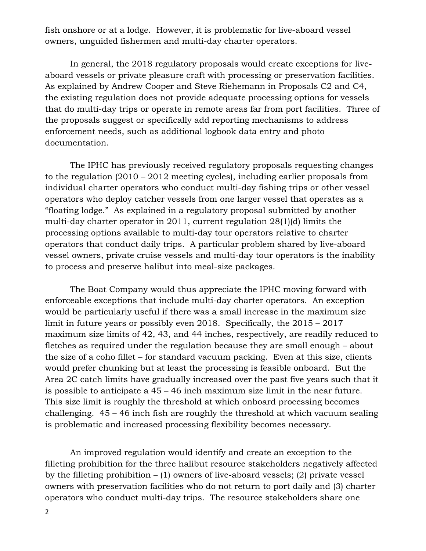fish onshore or at a lodge. However, it is problematic for live-aboard vessel owners, unguided fishermen and multi-day charter operators.

In general, the 2018 regulatory proposals would create exceptions for liveaboard vessels or private pleasure craft with processing or preservation facilities. As explained by Andrew Cooper and Steve Riehemann in Proposals C2 and C4, the existing regulation does not provide adequate processing options for vessels that do multi-day trips or operate in remote areas far from port facilities. Three of the proposals suggest or specifically add reporting mechanisms to address enforcement needs, such as additional logbook data entry and photo documentation.

The IPHC has previously received regulatory proposals requesting changes to the regulation (2010 – 2012 meeting cycles), including earlier proposals from individual charter operators who conduct multi-day fishing trips or other vessel operators who deploy catcher vessels from one larger vessel that operates as a "floating lodge." As explained in a regulatory proposal submitted by another multi-day charter operator in 2011, current regulation 28(1)(d) limits the processing options available to multi-day tour operators relative to charter operators that conduct daily trips. A particular problem shared by live-aboard vessel owners, private cruise vessels and multi-day tour operators is the inability to process and preserve halibut into meal-size packages.

The Boat Company would thus appreciate the IPHC moving forward with enforceable exceptions that include multi-day charter operators. An exception would be particularly useful if there was a small increase in the maximum size limit in future years or possibly even 2018. Specifically, the 2015 – 2017 maximum size limits of 42, 43, and 44 inches, respectively, are readily reduced to fletches as required under the regulation because they are small enough – about the size of a coho fillet – for standard vacuum packing. Even at this size, clients would prefer chunking but at least the processing is feasible onboard. But the Area 2C catch limits have gradually increased over the past five years such that it is possible to anticipate a 45 – 46 inch maximum size limit in the near future. This size limit is roughly the threshold at which onboard processing becomes challenging. 45 – 46 inch fish are roughly the threshold at which vacuum sealing is problematic and increased processing flexibility becomes necessary.

An improved regulation would identify and create an exception to the filleting prohibition for the three halibut resource stakeholders negatively affected by the filleting prohibition  $- (1)$  owners of live-aboard vessels; (2) private vessel owners with preservation facilities who do not return to port daily and (3) charter operators who conduct multi-day trips. The resource stakeholders share one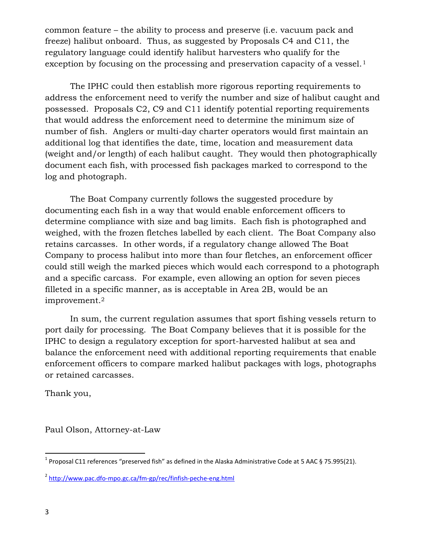common feature – the ability to process and preserve (i.e. vacuum pack and freeze) halibut onboard. Thus, as suggested by Proposals C4 and C11, the regulatory language could identify halibut harvesters who qualify for the exception by focusing on the processing and preservation capacity of a vessel.<sup>1</sup>

The IPHC could then establish more rigorous reporting requirements to address the enforcement need to verify the number and size of halibut caught and possessed. Proposals C2, C9 and C11 identify potential reporting requirements that would address the enforcement need to determine the minimum size of number of fish. Anglers or multi-day charter operators would first maintain an additional log that identifies the date, time, location and measurement data (weight and/or length) of each halibut caught. They would then photographically document each fish, with processed fish packages marked to correspond to the log and photograph.

The Boat Company currently follows the suggested procedure by documenting each fish in a way that would enable enforcement officers to determine compliance with size and bag limits. Each fish is photographed and weighed, with the frozen fletches labelled by each client. The Boat Company also retains carcasses. In other words, if a regulatory change allowed The Boat Company to process halibut into more than four fletches, an enforcement officer could still weigh the marked pieces which would each correspond to a photograph and a specific carcass. For example, even allowing an option for seven pieces filleted in a specific manner, as is acceptable in Area 2B, would be an improvement.<sup>2</sup>

In sum, the current regulation assumes that sport fishing vessels return to port daily for processing. The Boat Company believes that it is possible for the IPHC to design a regulatory exception for sport-harvested halibut at sea and balance the enforcement need with additional reporting requirements that enable enforcement officers to compare marked halibut packages with logs, photographs or retained carcasses.

Thank you,

Paul Olson, Attorney-at-Law

<sup>&</sup>lt;sup>1</sup> Proposal C11 references "preserved fish" as defined in the Alaska Administrative Code at 5 AAC § 75.995(21).

<sup>&</sup>lt;sup>2</sup> http://www.pac.dfo-mpo.gc.ca/fm-gp/rec/finfish-peche-eng.html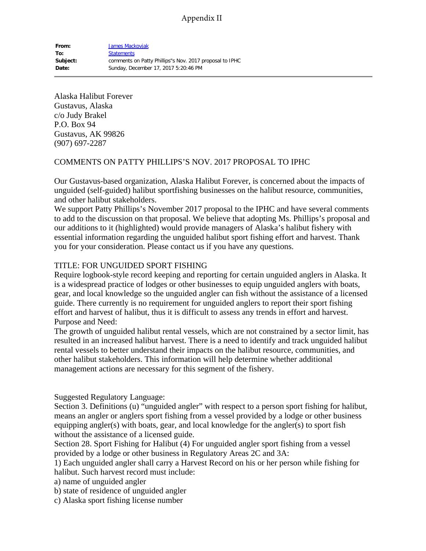Alaska Halibut Forever Gustavus, Alaska c/o Judy Brakel P.O. Box 94 Gustavus, AK 99826 (907) 697-2287

### COMMENTS ON PATTY PHILLIPS'S NOV. 2017 PROPOSAL TO IPHC

Our Gustavus-based organization, Alaska Halibut Forever, is concerned about the impacts of unguided (self-guided) halibut sportfishing businesses on the halibut resource, communities, and other halibut stakeholders.

We support Patty Phillips's November 2017 proposal to the IPHC and have several comments to add to the discussion on that proposal. We believe that adopting Ms. Phillips's proposal and our additions to it (highlighted) would provide managers of Alaska's halibut fishery with essential information regarding the unguided halibut sport fishing effort and harvest. Thank you for your consideration. Please contact us if you have any questions.

## TITLE: FOR UNGUIDED SPORT FISHING

Require logbook-style record keeping and reporting for certain unguided anglers in Alaska. It is a widespread practice of lodges or other businesses to equip unguided anglers with boats, gear, and local knowledge so the unguided angler can fish without the assistance of a licensed guide. There currently is no requirement for unguided anglers to report their sport fishing effort and harvest of halibut, thus it is difficult to assess any trends in effort and harvest. Purpose and Need:

The growth of unguided halibut rental vessels, which are not constrained by a sector limit, has resulted in an increased halibut harvest. There is a need to identify and track unguided halibut rental vessels to better understand their impacts on the halibut resource, communities, and other halibut stakeholders. This information will help determine whether additional management actions are necessary for this segment of the fishery.

Suggested Regulatory Language:

Section 3. Definitions (u) "unguided angler" with respect to a person sport fishing for halibut, means an angler or anglers sport fishing from a vessel provided by a lodge or other business equipping angler(s) with boats, gear, and local knowledge for the angler(s) to sport fish without the assistance of a licensed guide.

Section 28. Sport Fishing for Halibut (4) For unguided angler sport fishing from a vessel provided by a lodge or other business in Regulatory Areas 2C and 3A:

1) Each unguided angler shall carry a Harvest Record on his or her person while fishing for halibut. Such harvest record must include:

a) name of unguided angler

b) state of residence of unguided angler

c) Alaska sport fishing license number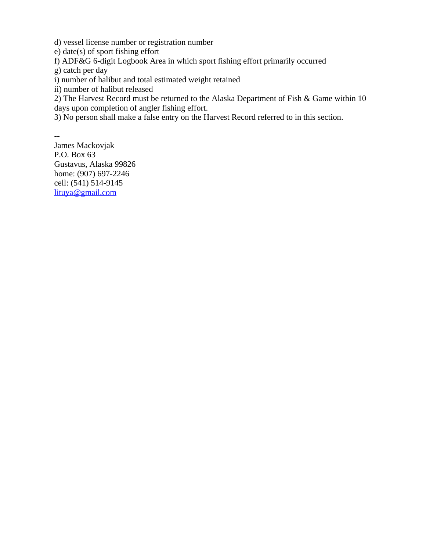d) vessel license number or registration number

e) date(s) of sport fishing effort

f) ADF&G 6-digit Logbook Area in which sport fishing effort primarily occurred

g) catch per day

i) number of halibut and total estimated weight retained

ii) number of halibut released

2) The Harvest Record must be returned to the Alaska Department of Fish & Game within 10 days upon completion of angler fishing effort.

3) No person shall make a false entry on the Harvest Record referred to in this section.

-- James Mackovjak P.O. Box 63 Gustavus, Alaska 99826

home: (907) 697-2246 cell: (541) 514-9145 [lituya@gmail.com](mailto:lituya@gmail.com)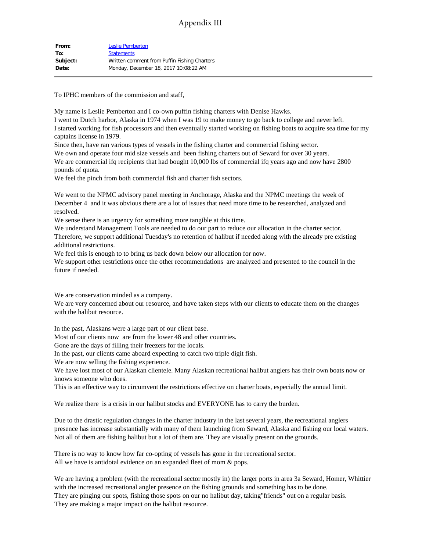# Appendix III

| From:    | <b>Leslie Pemberton</b>                      |
|----------|----------------------------------------------|
| To:      | <b>Statements</b>                            |
| Subject: | Written comment from Puffin Fishing Charters |
| Date:    | Monday, December 18, 2017 10:08:22 AM        |
|          |                                              |

To IPHC members of the commission and staff,

My name is Leslie Pemberton and I co-own puffin fishing charters with Denise Hawks. I went to Dutch harbor, Alaska in 1974 when I was 19 to make money to go back to college and never left. I started working for fish processors and then eventually started working on fishing boats to acquire sea time for my captains license in 1979.

Since then, have ran various types of vessels in the fishing charter and commercial fishing sector.

We own and operate four mid size vessels and been fishing charters out of Seward for over 30 years.

We are commercial ifq recipients that had bought 10,000 lbs of commercial ifq years ago and now have 2800 pounds of quota.

We feel the pinch from both commercial fish and charter fish sectors.

We went to the NPMC advisory panel meeting in Anchorage, Alaska and the NPMC meetings the week of December 4 and it was obvious there are a lot of issues that need more time to be researched, analyzed and resolved.

We sense there is an urgency for something more tangible at this time.

We understand Management Tools are needed to do our part to reduce our allocation in the charter sector. Therefore, we support additional Tuesday's no retention of halibut if needed along with the already pre existing additional restrictions.

We feel this is enough to to bring us back down below our allocation for now.

We support other restrictions once the other recommendations are analyzed and presented to the council in the future if needed.

We are conservation minded as a company.

We are very concerned about our resource, and have taken steps with our clients to educate them on the changes with the halibut resource.

In the past, Alaskans were a large part of our client base.

Most of our clients now are from the lower 48 and other countries.

Gone are the days of filling their freezers for the locals.

In the past, our clients came aboard expecting to catch two triple digit fish.

We are now selling the fishing experience.

We have lost most of our Alaskan clientele. Many Alaskan recreational halibut anglers has their own boats now or knows someone who does.

This is an effective way to circumvent the restrictions effective on charter boats, especially the annual limit.

We realize there is a crisis in our halibut stocks and EVERYONE has to carry the burden.

Due to the drastic regulation changes in the charter industry in the last several years, the recreational anglers presence has increase substantially with many of them launching from Seward, Alaska and fishing our local waters. Not all of them are fishing halibut but a lot of them are. They are visually present on the grounds.

There is no way to know how far co-opting of vessels has gone in the recreational sector. All we have is antidotal evidence on an expanded fleet of mom & pops.

We are having a problem (with the recreational sector mostly in) the larger ports in area 3a Seward, Homer, Whittier with the increased recreational angler presence on the fishing grounds and something has to be done. They are pinging our spots, fishing those spots on our no halibut day, taking"friends" out on a regular basis. They are making a major impact on the halibut resource.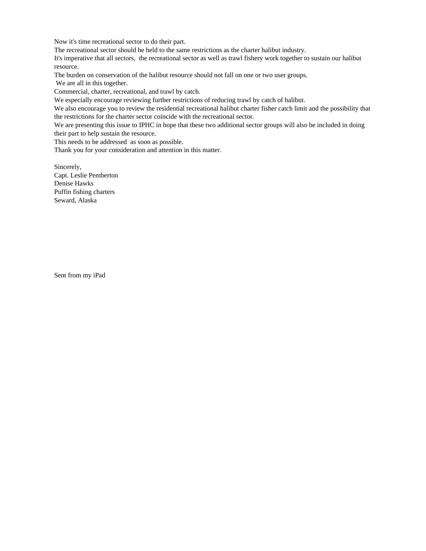Now it's time recreational sector to do their part.

The recreational sector should be held to the same restrictions as the charter halibut industry.

It's imperative that all sectors, the recreational sector as well as trawl fishery work together to sustain our halibut resource.

The burden on conservation of the halibut resource should not fall on one or two user groups.

We are all in this together.

Commercial, charter, recreational, and trawl by catch.

We especially encourage reviewing further restrictions of reducing trawl by catch of halibut.

We also encourage you to review the residential recreational halibut charter fisher catch limit and the possibility that the restrictions for the charter sector coincide with the recreational sector.

We are presenting this issue to IPHC in hope that these two additional sector groups will also be included in doing their part to help sustain the resource.

This needs to be addressed as soon as possible.

Thank you for your consideration and attention in this matter.

Sincerely, Capt. Leslie Pemberton Denise Hawks Puffin fishing charters Seward, Alaska

Sent from my iPad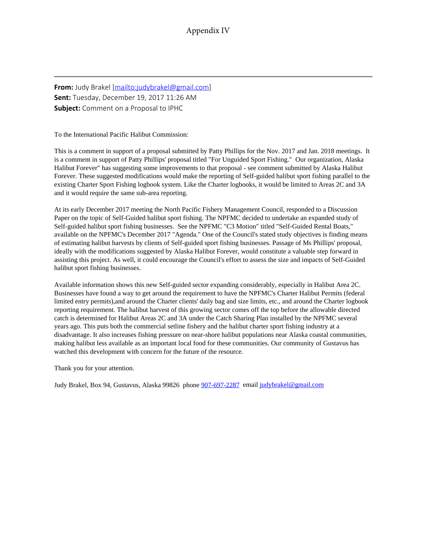**From:** Judy Brakel [\[mailto:judybrakel@gmail.com](mailto:judybrakel@gmail.com)] **Sent:** Tuesday, December 19, 2017 11:26 AM **Subject:** Comment on a Proposal to IPHC

To the International Pacific Halibut Commission:

This is a comment in support of a proposal submitted by Patty Phillips for the Nov. 2017 and Jan. 2018 meetings. It is a comment in support of Patty Phillips' proposal titled "For Unguided Sport Fishing." Our organization, Alaska Halibut Forever" has suggesting some improvements to that proposal - see comment submitted by Alaska Halibut Forever. These suggested modifications would make the reporting of Self-guided halibut sport fishing parallel to the existing Charter Sport Fishing logbook system. Like the Charter logbooks, it would be limited to Areas 2C and 3A and it would require the same sub-area reporting.

At its early December 2017 meeting the North Pacific Fishery Management Council, responded to a Discussion Paper on the topic of Self-Guided halibut sport fishing. The NPFMC decided to undertake an expanded study of Self-guided halibut sport fishing businesses. See the NPFMC "C3 Motion" titled "Self-Guided Rental Boats," available on the NPFMC's December 2017 "Agenda." One of the Council's stated study objectives is finding means of estimating halibut harvests by clients of Self-guided sport fishing businesses. Passage of Ms Phillips' proposal, ideally with the modifications suggested by Alaska Halibut Forever, would constitute a valuable step forward in assisting this project. As well, it could encourage the Council's effort to assess the size and impacts of Self-Guided halibut sport fishing businesses.

Available information shows this new Self-guided sector expanding considerably, especially in Halibut Area 2C. Businesses have found a way to get around the requirement to have the NPFMC's Charter Halibut Permits (federal limited entry permits),and around the Charter clients' daily bag and size limits, etc., and around the Charter logbook reporting requirement. The halibut harvest of this growing sector comes off the top before the allowable directed catch is determined for Halibut Areas 2C and 3A under the Catch Sharing Plan installed by the NPFMC several years ago. This puts both the commercial setline fishery and the halibut charter sport fishing industry at a disadvantage. It also increases fishing pressure on near-shore halibut populations near Alaska coastal communities, making halibut less available as an important local food for these communities. Our community of Gustavus has watched this development with concern for the future of the resource.

Thank you for your attention.

Judy Brakel, Box 94, Gustavus, Alaska 99826 phone  $\frac{907-697-2287}{90}$  email [judybrakel@gmail.com](mailto:judybrakel@gmail.com)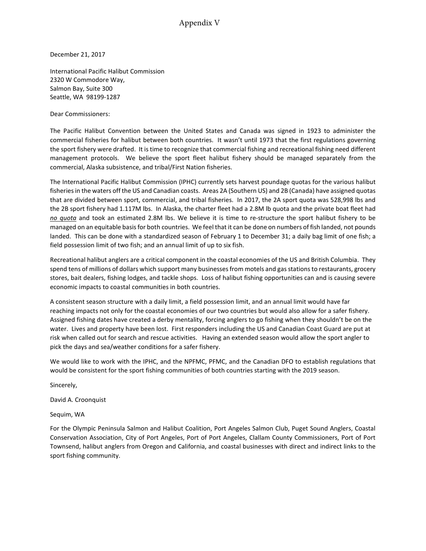Appendix V

December 21, 2017

International Pacific Halibut Commission 2320 W Commodore Way, Salmon Bay, Suite 300 Seattle, WA 98199-1287

Dear Commissioners:

The Pacific Halibut Convention between the United States and Canada was signed in 1923 to administer the commercial fisheries for halibut between both countries. It wasn't until 1973 that the first regulations governing the sport fishery were drafted. It is time to recognize that commercial fishing and recreational fishing need different management protocols. We believe the sport fleet halibut fishery should be managed separately from the commercial, Alaska subsistence, and tribal/First Nation fisheries.

The International Pacific Halibut Commission (IPHC) currently sets harvest poundage quotas for the various halibut fisheries in the waters off the US and Canadian coasts. Areas 2A (Southern US) and 2B (Canada) have assigned quotas that are divided between sport, commercial, and tribal fisheries. In 2017, the 2A sport quota was 528,998 lbs and the 2B sport fishery had 1.117M lbs. In Alaska, the charter fleet had a 2.8M lb quota and the private boat fleet had *no quota* and took an estimated 2.8M lbs. We believe it is time to re-structure the sport halibut fishery to be managed on an equitable basis for both countries. We feel that it can be done on numbers of fish landed, not pounds landed. This can be done with a standardized season of February 1 to December 31; a daily bag limit of one fish; a field possession limit of two fish; and an annual limit of up to six fish.

Recreational halibut anglers are a critical component in the coastal economies of the US and British Columbia. They spend tens of millions of dollars which support many businesses from motels and gas stations to restaurants, grocery stores, bait dealers, fishing lodges, and tackle shops. Loss of halibut fishing opportunities can and is causing severe economic impacts to coastal communities in both countries.

A consistent season structure with a daily limit, a field possession limit, and an annual limit would have far reaching impacts not only for the coastal economies of our two countries but would also allow for a safer fishery. Assigned fishing dates have created a derby mentality, forcing anglers to go fishing when they shouldn't be on the water. Lives and property have been lost. First responders including the US and Canadian Coast Guard are put at risk when called out for search and rescue activities. Having an extended season would allow the sport angler to pick the days and sea/weather conditions for a safer fishery.

We would like to work with the IPHC, and the NPFMC, PFMC, and the Canadian DFO to establish regulations that would be consistent for the sport fishing communities of both countries starting with the 2019 season.

Sincerely,

David A. Croonquist

Sequim, WA

For the Olympic Peninsula Salmon and Halibut Coalition, Port Angeles Salmon Club, Puget Sound Anglers, Coastal Conservation Association, City of Port Angeles, Port of Port Angeles, Clallam County Commissioners, Port of Port Townsend, halibut anglers from Oregon and California, and coastal businesses with direct and indirect links to the sport fishing community.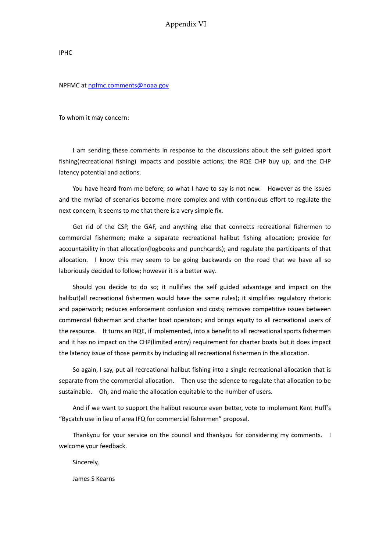#### Appendix VI

IPHC

#### NPFMC at [npfmc.comments@noaa.gov](mailto:npfmc.comments@noaa.gov)

To whom it may concern:

I am sending these comments in response to the discussions about the self guided sport fishing(recreational fishing) impacts and possible actions; the RQE CHP buy up, and the CHP latency potential and actions.

You have heard from me before, so what I have to say is not new. However as the issues and the myriad of scenarios become more complex and with continuous effort to regulate the next concern, it seems to me that there is a very simple fix.

Get rid of the CSP, the GAF, and anything else that connects recreational fishermen to commercial fishermen; make a separate recreational halibut fishing allocation; provide for accountability in that allocation(logbooks and punchcards); and regulate the participants of that allocation. I know this may seem to be going backwards on the road that we have all so laboriously decided to follow; however it is a better way.

Should you decide to do so; it nullifies the self guided advantage and impact on the halibut(all recreational fishermen would have the same rules); it simplifies regulatory rhetoric and paperwork; reduces enforcement confusion and costs; removes competitive issues between commercial fisherman and charter boat operators; and brings equity to all recreational users of the resource. It turns an RQE, if implemented, into a benefit to all recreational sports fishermen and it has no impact on the CHP(limited entry) requirement for charter boats but it does impact the latency issue of those permits by including all recreational fishermen in the allocation.

So again, I say, put all recreational halibut fishing into a single recreational allocation that is separate from the commercial allocation. Then use the science to regulate that allocation to be sustainable. Oh, and make the allocation equitable to the number of users.

And if we want to support the halibut resource even better, vote to implement Kent Huff's "Bycatch use in lieu of area IFQ for commercial fishermen" proposal.

Thankyou for your service on the council and thankyou for considering my comments. I welcome your feedback.

Sincerely,

James S Kearns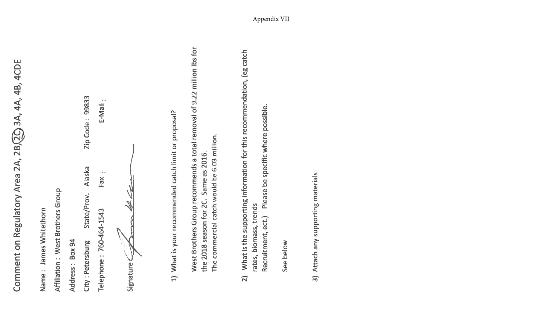Comment on Regulatory Area 2A, 2B, 2O, 3A, 4A, 4B, 4CDE

| Name: James Whitethorn                 |                 |
|----------------------------------------|-----------------|
| Affiliation: West Brothers Group       |                 |
| Address: Box 94                        |                 |
| State/Prov. Alaska<br>City: Petersburg | Zip Code: 99833 |
| Fax<br>Telephone: 760-464-1543         | E-Mail          |
| mm Hh<br>Signature C <sub>22</sub>     |                 |

1) What is your recommended catch limit or proposal?

West Brothers Group recommends a total removal of 9.22 million lbs for The commercial catch would be 6.03 million. the 2018 season for 2C. Same as 2016.

What is the supporting information for this recommendation, (eg catch Please be specific where possible. rates, biomass, trends Recruitment, ect.)  $\sum_{i=1}^{n}$ 

See below

3) Attach any supporting materials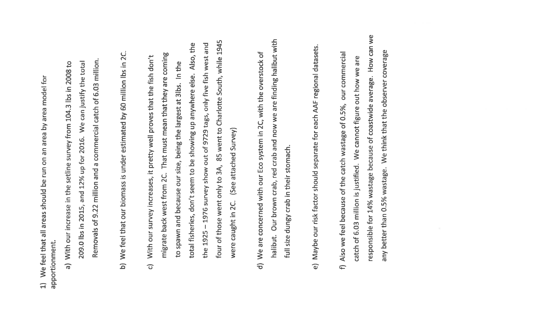1) We feel that all areas should be run on an area by area model for apportionment.

- Removals of 9.22 million and a commercial catch of 6.03 million. We can justify the total a) With our increase in the setline survey from 104.3 lbs in 2008 to 209.0 lbs in 2015, and 12% up for 2016.
- b) We feel that our biomass is under estimated by 60 million lbs in 2C.
- four of those went only to 3A, 85 went to Charlotte South, while 1945 the 1925 - 1976 survey show out of 9729 tags, only five fish west and Also, the migrate back west from 2C. That must mean that they are coming With our survey increases, it pretty well proves that the fish don't to spawn and because our size, being the largest at 3lbs. In the total fisheries, don't seem to be showing up anywhere else. (See attached Survey) were caught in 2C.  $\overline{G}$
- halibut. Our brown crab, red crab and now we are finding halibut with d) We are concerned with our Eco system in 2C, with the overstock of full size dungy crab in their stomach.
- e) Maybe our risk factor should separate for each AAF regional datasets.
- responsible for 14% wastage because of coastwide average. How can we any better than 0.5% wastage. We think that the observer coverage f) Also we feel because of the catch wastage of 0.5%, our commercial catch of 6.03 million is justified. We cannot figure out how we are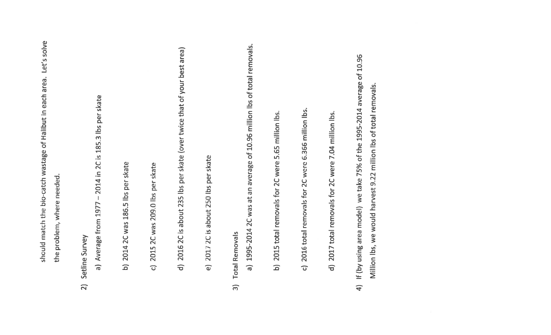|                          | Let's solve<br>should match the bio-catch wastage of Halibut in each area.                                                                 |
|--------------------------|--------------------------------------------------------------------------------------------------------------------------------------------|
|                          | the problem, where needed.                                                                                                                 |
| $\widehat{\mathbf{z}}$   | Setline Survey                                                                                                                             |
|                          | Average from 1977 - 2014 in 2C is 185.3 lbs per skate<br>$\frac{1}{\sigma}$                                                                |
|                          | 2014 2C was 186.5 lbs per skate<br>$\overline{\mathsf{d}}$                                                                                 |
|                          | 2015 2C was 209.0 lbs per skate<br>$\widehat{\mathbf{C}}$                                                                                  |
|                          | 2016 2C is about 235 lbs per skate (over twice that of your best area)<br>$\widehat{\sigma}$                                               |
|                          | e) 2017 2C is about 250 lbs per skate                                                                                                      |
| $\widehat{\mathfrak{m}}$ | 1995-2014 2C was at an average of 10.96 million lbs of total removals.<br><b>Total Removals</b><br>$\widehat{\mathbf{a}}$                  |
|                          | b) 2015 total removals for 2C were 5.65 million lbs.                                                                                       |
|                          | 2016 total removals for 2C were 6.366 million lbs.<br>$\widehat{\mathbf{C}}$                                                               |
|                          | 2017 total removals for 2C were 7.04 million lbs.<br>$\widehat{\sigma}$                                                                    |
| $\widehat{4}$            | If (by using area model) we take 75% of the 1995-2014 average of 10.96<br>Million lbs, we would harvest 9.22 million lbs of total removals |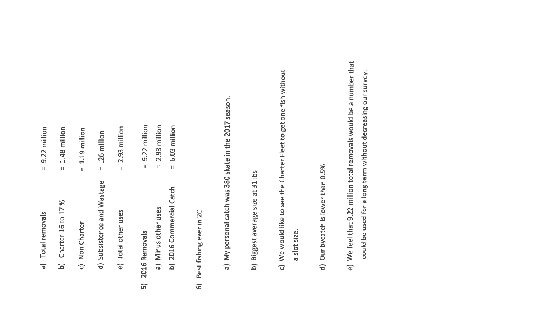| a) Total removals          | $= 9.22$ million                        |
|----------------------------|-----------------------------------------|
| b) Charter 16 to 17 %      | $= 1.48$ million                        |
| c) Non Charter             | $= 1.19$ million                        |
| d) Subsistence and Wastage | $= .26$ million                         |
| e) Total other uses        | $= 2.93$ million                        |
| 2016 Removals              | 9.22 million<br>$\overline{\mathbf{u}}$ |
| a) Minus other uses        | $= 2.93$ million                        |
| b) 2016 Commercial Catch   | $= 6.03$ million                        |

 $\overline{5}$ 

- Best fishing ever in 2C  $\widehat{\mathbf{6}}$
- a) My personal catch was 380 skate in the 2017 season.
- b) Biggest average size at 31 lbs
- c) We would like to see the Charter Fleet to get one fish without a slot size.
- d) Our bycatch is lower than 0.5%
- e) We feel that 9.22 million total removals would be a number that could be used for a long term without decreasing our survey.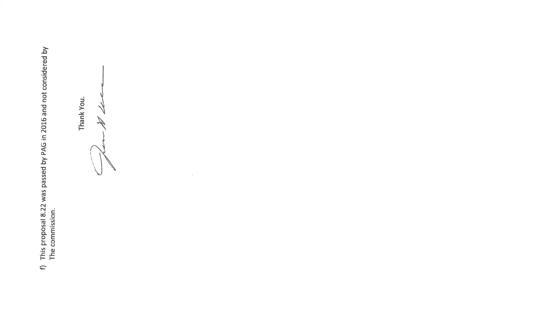f) This proposal 8.22 was passed by PAG in 2016 and not considered by<br>The commission.

Thank You. N de

 $\left\vert \mathbf{k}\right\rangle$